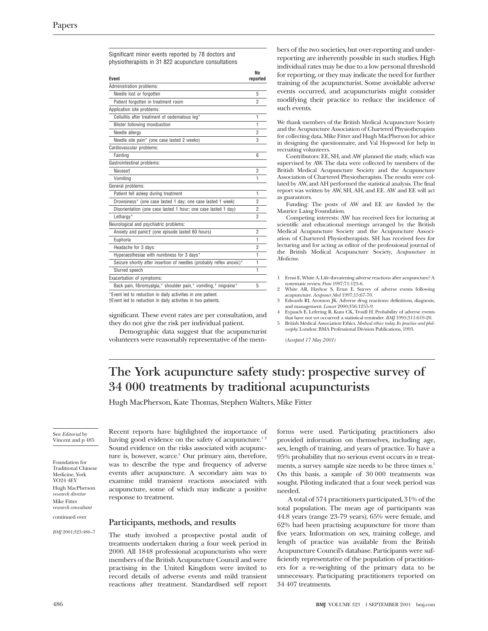Significant minor events reported by 78 doctors and physiotherapists in 31 822 acupuncture consultations

|                                                                      | Nn             |
|----------------------------------------------------------------------|----------------|
| Event                                                                | reported       |
| Administration problems:                                             |                |
| Needle lost or forgotten                                             | 5              |
| Patient forgotten in treatment room                                  | $\overline{2}$ |
| Application site problems:                                           |                |
| Cellulitis after treatment of oedematous leg*                        | 1              |
| <b>Blister following moxibustion</b>                                 | 1              |
| Needle allergy                                                       | 2              |
| Needle site pain* (one case lasted 2 weeks)                          | 3              |
| Cardiovascular problems:                                             |                |
| Fainting                                                             | 6              |
| Gastrointestinal problems:                                           |                |
| Nausea <sup>+</sup>                                                  | $\overline{c}$ |
| Vomitina                                                             | 1              |
| General problems:                                                    |                |
| Patient fell asleep during treatment                                 | 1              |
| Drowsiness* (one case lasted 1 day; one case lasted 1 week)          | $\overline{c}$ |
| Disorientation (one case lasted 1 hour; one case lasted 1 day)       | $\overline{2}$ |
| Lethargy*                                                            | $\overline{2}$ |
| Neurological and psychiatric problems:                               |                |
| Anxiety and panict (one episode lasted 60 hours)                     | $\overline{c}$ |
| Euphoria                                                             | 1              |
| Headache for 3 days                                                  | $\overline{c}$ |
| Hyperaesthesiae with numbness for 3 days*                            | 1              |
| Seizure shortly after insertion of needles (probably reflex anoxic)* | 1              |
| Slurred speech                                                       | 1              |
| Exacerbation of symptoms:                                            |                |
| Back pain, fibromyalgia,* shoulder pain,* vomiting,* migraine*       | 5              |
| *Event led to reduction in daily activities in one patient.          |                |

\*Event led to reduction in daily activities in one patient. †Event led to reduction in daily activities in two patients.

significant. These event rates are per consultation, and they do not give the risk per individual patient.

Demographic data suggest that the acupuncturist volunteers were reasonably representative of the mem-

bers of the two societies, but over-reporting and underreporting are inherently possible in such studies. High individual rates may be due to a low personal threshold for reporting, or they may indicate the need for further training of the acupuncturist. Some avoidable adverse events occurred, and acupuncturists might consider modifying their practice to reduce the incidence of such events.

We thank members of the British Medical Acupuncture Society and the Acupuncture Association of Chartered Physiotherapists for collecting data, Mike Fitter and Hugh MacPherson for advice in designing the questionnaire, and Val Hopwood for help in recruiting volunteers.

Contributors: EE, SH, and AW planned the study, which was supervised by AW. The data were collected by members of the British Medical Acupuncture Society and the Acupuncture Association of Chartered Physiotherapists. The results were collated by AW, and AH performed the statistical analysis. The final report was written by AW, SH, AH, and EE. AW and EE will act as guarantors.

Funding: The posts of AW and EE are funded by the Maurice Laing Foundation.

Competing interests: AW has received fees for lecturing at scientific and educational meetings arranged by the British Medical Acupuncture Society and the Acupuncture Association of Chartered Physiotherapists. SH has received fees for lecturing and for acting as editor of the professional journal of the British Medical Acupuncture Society, *Acupuncture in Medicine*.

- 1 Ernst E, White A. Life-threatening adverse reactions after acupuncture? A systematic review. *Pain* 1997;71:123-6.
- 2 White AR, Hayhoe S, Ernst E. Survey of adverse events following acupuncture. *Acupunct Med* 1997;15:67-70.
- 3 Edwards RI, Aronson JK. Adverse drug reactions: definitions, diagnosis, and management. *Lancet* 2000;356:1255-9.
- 4 Eypasch E, Lefering R, Kum CK, Troidl H. Probability of adverse events that have not yet occurred: a statistical reminder. *BMJ* 1995;311:619-20. 5 British Medical Association Ethics. *Medical ethics today. Its practice and phil-*
- *osophy*. London: BMA Professional Division Publications, 1993.

*(Accepted 17 May 2001)*

# **The York acupuncture safety study: prospective survey of 34 000 treatments by traditional acupuncturists**

Hugh MacPherson, Kate Thomas, Stephen Walters, Mike Fitter

See *Editorial* by Vincent and p 485

Foundation for Traditional Chinese Medicine, York YO24 4EY Hugh MacPherson *research director* Mike Fitter *research consultant* continued over

*BMJ* 2001;323:486–7

Recent reports have highlighted the importance of having good evidence on the safety of acupuncture.<sup>12</sup> Sound evidence on the risks associated with acupuncture is, however, scarce.<sup>3</sup> Our primary aim, therefore, was to describe the type and frequency of adverse events after acupuncture. A secondary aim was to examine mild transient reactions associated with acupuncture, some of which may indicate a positive response to treatment.

## **Participants, methods, and results**

The study involved a prospective postal audit of treatments undertaken during a four week period in 2000. All 1848 professional acupuncturists who were members of the British Acupuncture Council and were practising in the United Kingdom were invited to record details of adverse events and mild transient reactions after treatment. Standardised self report

forms were used. Participating practitioners also provided information on themselves, including age, sex, length of training, and years of practice. To have a 95% probability that no serious event occurs in *n* treatments, a survey sample size needs to be three times *n*. 4 On this basis, a sample of 30 000 treatments was sought. Piloting indicated that a four week period was needed.

A total of 574 practitioners participated, 31% of the total population. The mean age of participants was 44.8 years (range 23-79 years), 65% were female, and 62% had been practising acupuncture for more than five years. Information on sex, training college, and length of practice was available from the British Acupuncture Council's database. Participants were sufficiently representative of the population of practitioners for a re-weighting of the primary data to be unnecessary. Participating practitioners reported on 34 407 treatments.